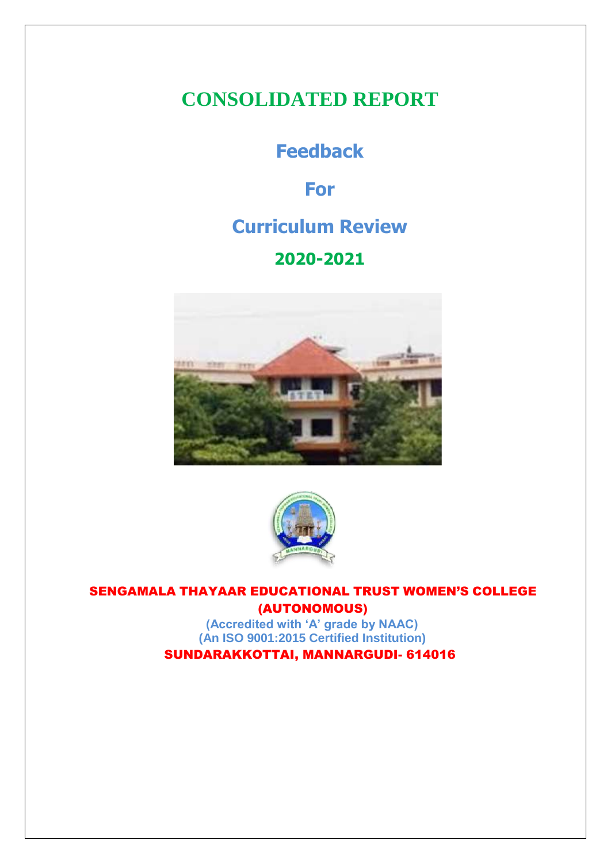## **CONSOLIDATED REPORT**

## **Feedback**

**For**

## **Curriculum Review**

### **2020-2021**





SENGAMALA THAYAAR EDUCATIONAL TRUST WOMEN'S COLLEGE (AUTONOMOUS)

**(Accredited with 'A' grade by NAAC) (An ISO 9001:2015 Certified Institution)** SUNDARAKKOTTAI, MANNARGUDI- 614016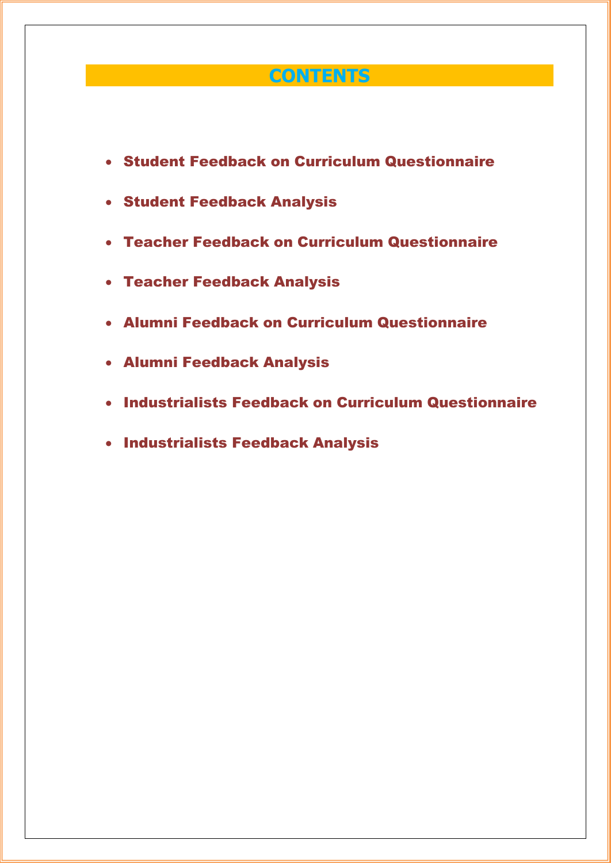### **CONTENTS**

- Student Feedback on Curriculum Questionnaire
- Student Feedback Analysis
- Teacher Feedback on Curriculum Questionnaire
- Teacher Feedback Analysis
- Alumni Feedback on Curriculum Questionnaire
- Alumni Feedback Analysis
- Industrialists Feedback on Curriculum Questionnaire
- **Industrialists Feedback Analysis**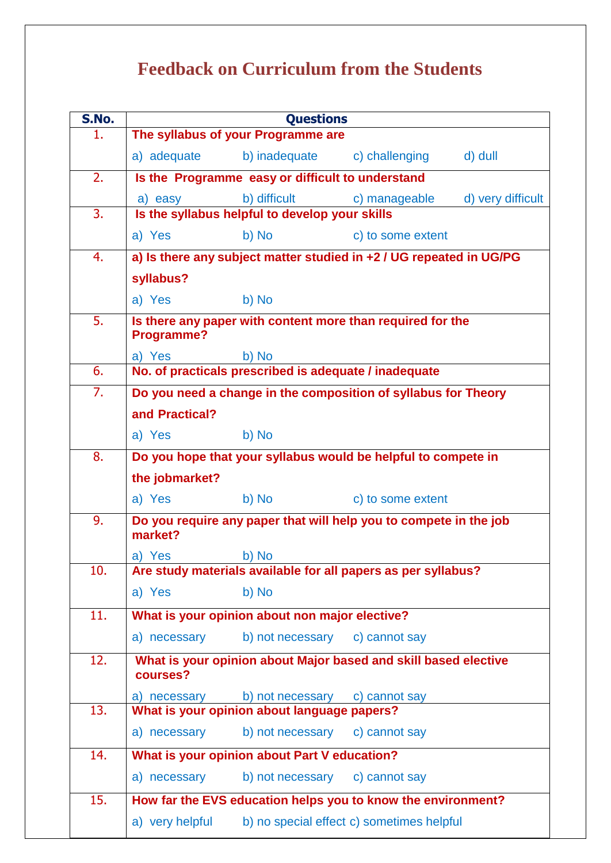# **Feedback on Curriculum from the Students**

| S.No. | <b>Questions</b>                                                              |                                                                                                                                                                                                                               |                                                                     |                   |
|-------|-------------------------------------------------------------------------------|-------------------------------------------------------------------------------------------------------------------------------------------------------------------------------------------------------------------------------|---------------------------------------------------------------------|-------------------|
| 1.    | The syllabus of your Programme are                                            |                                                                                                                                                                                                                               |                                                                     |                   |
|       | a) adequate                                                                   |                                                                                                                                                                                                                               | b) inadequate c) challenging                                        | d) dull           |
| 2.    | Is the Programme easy or difficult to understand                              |                                                                                                                                                                                                                               |                                                                     |                   |
|       | a) easy                                                                       | b) difficult                                                                                                                                                                                                                  | c) manageable                                                       | d) very difficult |
| 3.    |                                                                               | Is the syllabus helpful to develop your skills                                                                                                                                                                                |                                                                     |                   |
|       | a) Yes                                                                        | b) No and the state of the state of the state of the state of the state of the state of the state of the state of the state of the state of the state of the state of the state of the state of the state of the state of the | c) to some extent                                                   |                   |
| 4.    |                                                                               |                                                                                                                                                                                                                               | a) Is there any subject matter studied in +2 / UG repeated in UG/PG |                   |
|       | syllabus?                                                                     |                                                                                                                                                                                                                               |                                                                     |                   |
|       | a) Yes                                                                        | b) No                                                                                                                                                                                                                         |                                                                     |                   |
| 5.    | Programme?                                                                    |                                                                                                                                                                                                                               | Is there any paper with content more than required for the          |                   |
|       | a) Yes                                                                        | b) No                                                                                                                                                                                                                         |                                                                     |                   |
| 6.    |                                                                               | No. of practicals prescribed is adequate / inadequate                                                                                                                                                                         |                                                                     |                   |
| 7.    |                                                                               |                                                                                                                                                                                                                               | Do you need a change in the composition of syllabus for Theory      |                   |
|       | and Practical?                                                                |                                                                                                                                                                                                                               |                                                                     |                   |
|       | a) Yes                                                                        | b) No                                                                                                                                                                                                                         |                                                                     |                   |
| 8.    | Do you hope that your syllabus would be helpful to compete in                 |                                                                                                                                                                                                                               |                                                                     |                   |
|       | the jobmarket?                                                                |                                                                                                                                                                                                                               |                                                                     |                   |
|       | a) Yes                                                                        | b) No and the state of the state of the state of the state of the state of the state of the state of the state of the state of the state of the state of the state of the state of the state of the state of the state of the | c) to some extent                                                   |                   |
| 9.    | market?                                                                       |                                                                                                                                                                                                                               | Do you require any paper that will help you to compete in the job   |                   |
|       |                                                                               |                                                                                                                                                                                                                               |                                                                     |                   |
| 10.   | a) Yes b) No<br>Are study materials available for all papers as per syllabus? |                                                                                                                                                                                                                               |                                                                     |                   |
|       | a) Yes                                                                        | b) No                                                                                                                                                                                                                         |                                                                     |                   |
| 11.   |                                                                               | What is your opinion about non major elective?                                                                                                                                                                                |                                                                     |                   |
|       | a) necessary                                                                  | b) not necessary                                                                                                                                                                                                              | c) cannot say                                                       |                   |
| 12.   | courses?                                                                      |                                                                                                                                                                                                                               | What is your opinion about Major based and skill based elective     |                   |
|       | a) necessary                                                                  | b) not necessary                                                                                                                                                                                                              | c) cannot say                                                       |                   |
| 13.   |                                                                               | What is your opinion about language papers?                                                                                                                                                                                   |                                                                     |                   |
|       | a) necessary                                                                  | b) not necessary c) cannot say                                                                                                                                                                                                |                                                                     |                   |
| 14.   |                                                                               | What is your opinion about Part V education?                                                                                                                                                                                  |                                                                     |                   |
|       | a) necessary                                                                  | b) not necessary                                                                                                                                                                                                              | c) cannot say                                                       |                   |
| 15.   |                                                                               |                                                                                                                                                                                                                               | How far the EVS education helps you to know the environment?        |                   |
|       | a) very helpful                                                               | b) no special effect c) sometimes helpful                                                                                                                                                                                     |                                                                     |                   |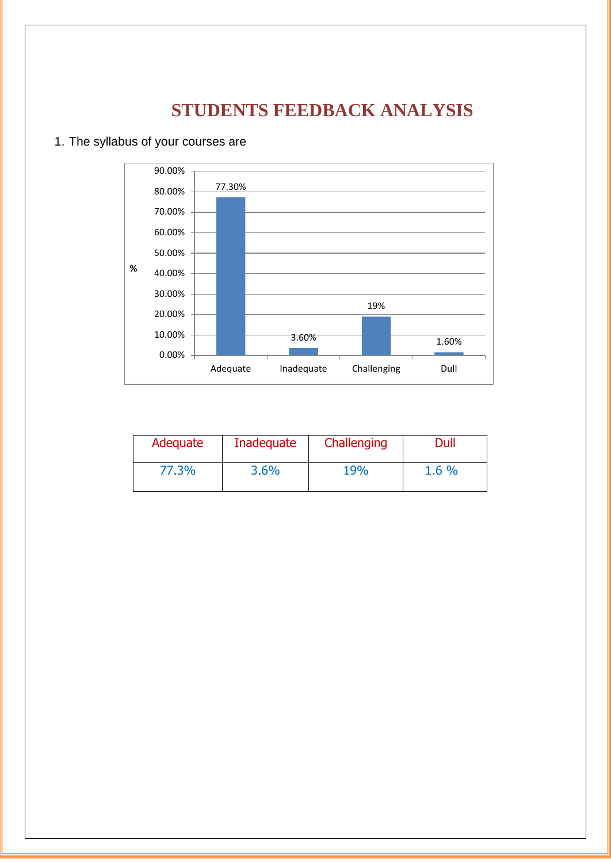## **STUDENTS FEEDBACK ANALYSIS**

#### 1. The syllabus of your courses are



| Adequate | Inadequate | Challenging | Dull  |
|----------|------------|-------------|-------|
| 77.3%    | 3.6%       | 19%         | 1.6 % |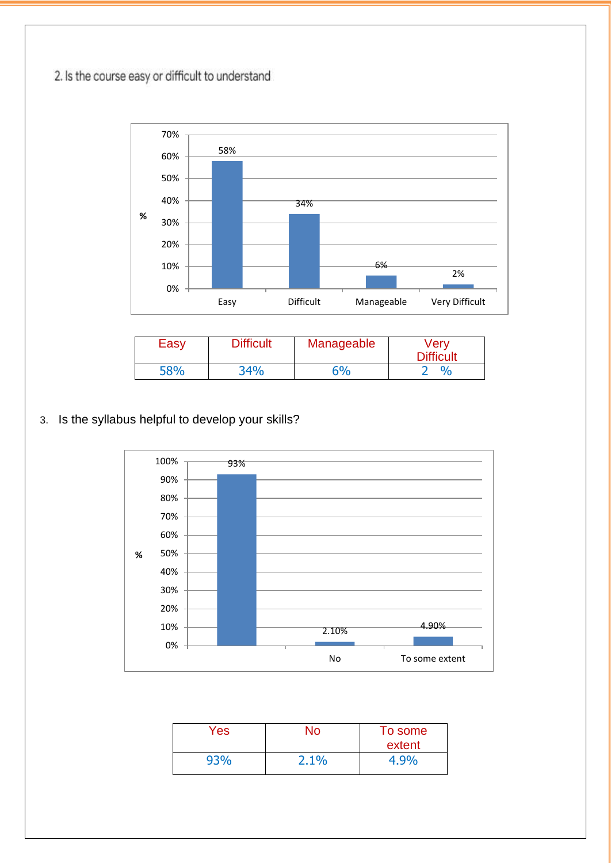2. Is the course easy or difficult to understand



| Easy | <b>Difficult</b> | Manageable | Verv<br><b>Difficult</b> |
|------|------------------|------------|--------------------------|
| 58%  | 34%              | $5\%$      | 0/2                      |

### 3. Is the syllabus helpful to develop your skills?



| Yes: | No   | To some<br>extent |
|------|------|-------------------|
| 93%  | 2.1% | 4.9%              |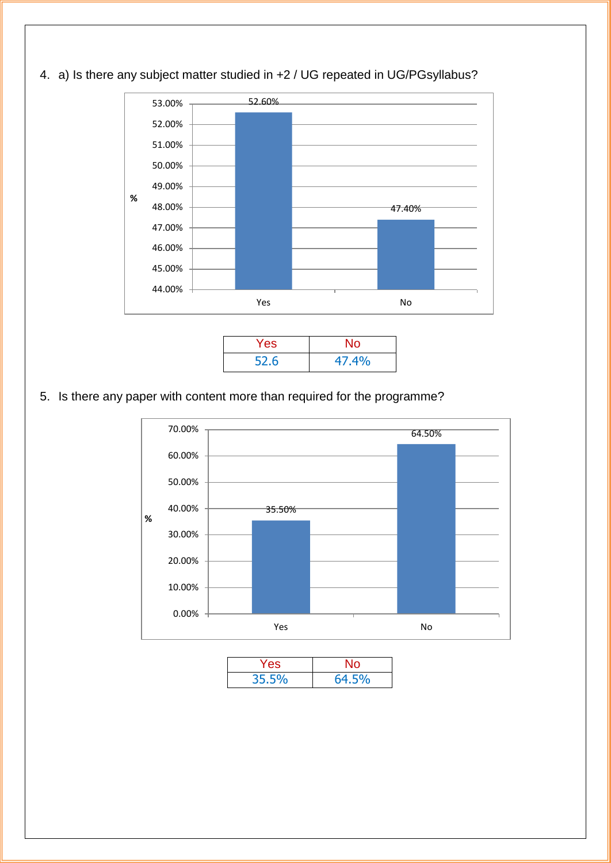

52.6 47.4%

4. a) Is there any subject matter studied in +2 / UG repeated in UG/PGsyllabus?

5. Is there any paper with content more than required for the programme?



| Yes.  | No    |
|-------|-------|
| 35.5% | 64.5% |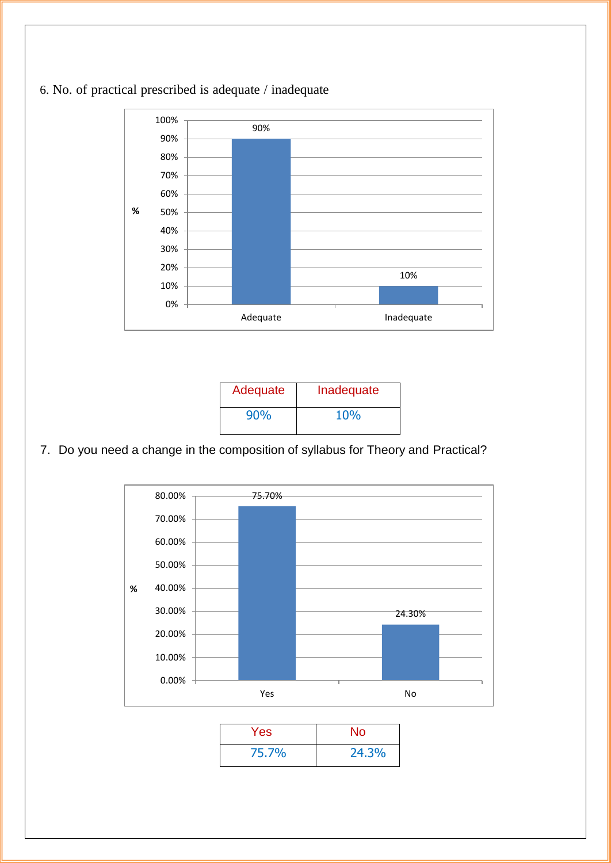

### 6. No. of practical prescribed is adequate / inadequate

| Adequate | Inadequate |
|----------|------------|
| 90%      | 10%        |

### 7. Do you need a change in the composition of syllabus for Theory and Practical?



| <b>Yes</b> | No    |
|------------|-------|
| 75.7%      | 24.3% |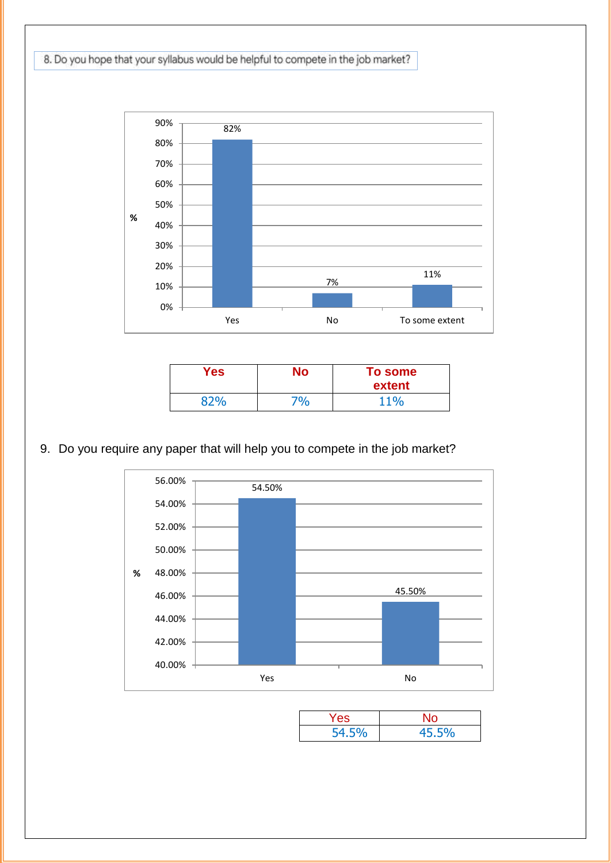8. Do you hope that your syllabus would be helpful to compete in the job market?



| Yes | No   | To some<br>extent |
|-----|------|-------------------|
| 92% | 70⁄0 | 11%               |

#### 9. Do you require any paper that will help you to compete in the job market?



| Yes   |       |
|-------|-------|
| 54.5% | 45.5% |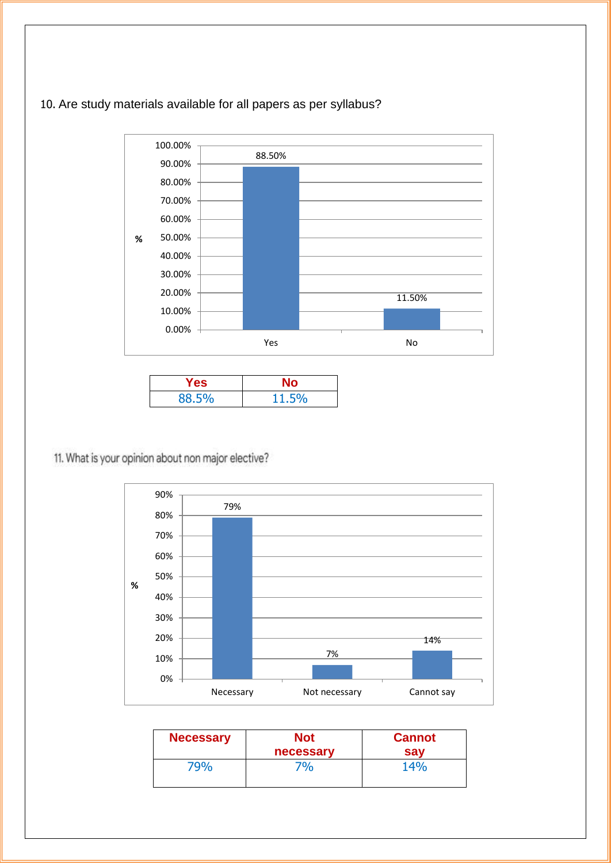### 10. Are study materials available for all papers as per syllabus?



| Yes.  |       |
|-------|-------|
| 88.5% | 11.5% |

11. What is your opinion about non major elective?



| <b>Necessary</b> | Not       | <b>Cannot</b> |
|------------------|-----------|---------------|
|                  | necessary | sav           |
| 79%              | 70/6      | 14%           |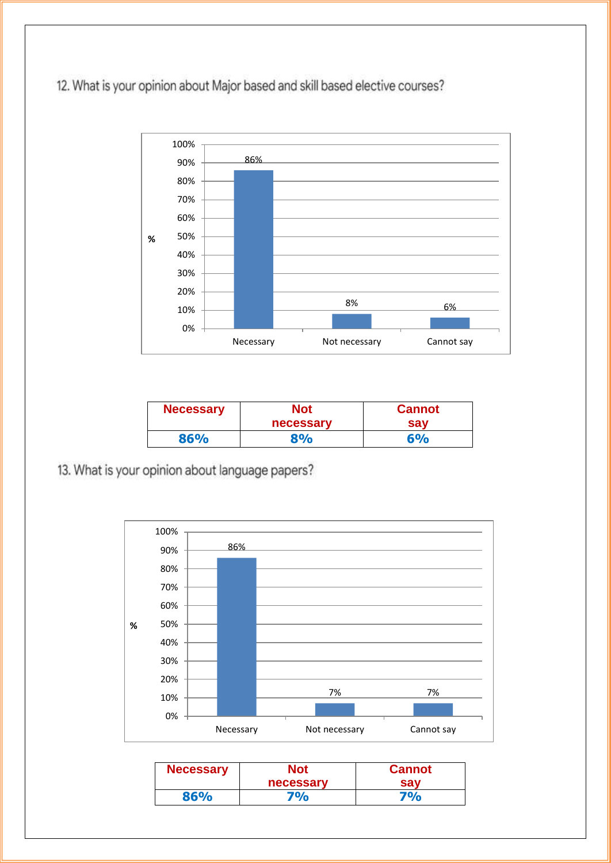12. What is your opinion about Major based and skill based elective courses?



| <b>Necessary</b> | Not       | <b>Cannot</b> |
|------------------|-----------|---------------|
|                  | necessary | sav           |
| 86%              | 8%        | 6%            |

13. What is your opinion about language papers?



| <b>Necessary</b> | Not<br>necessary | <b>Cannot</b><br>sav |
|------------------|------------------|----------------------|
| 86%              | 70/0             | 70/0                 |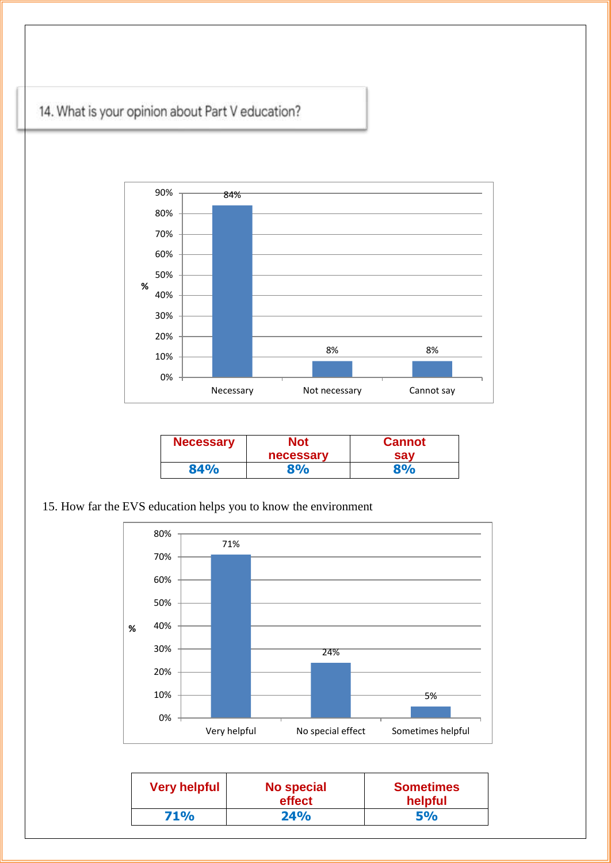



| <b>Necessary</b> | Not<br>necessary | <b>Cannot</b><br>sav |
|------------------|------------------|----------------------|
| 84%              | 8%               | 8%                   |

15. How far the EVS education helps you to know the environment



| <b>Very helpful</b> | No special<br>effect | <b>Sometimes</b><br>helpful |
|---------------------|----------------------|-----------------------------|
| <b>71%</b>          | 24%                  | 5%                          |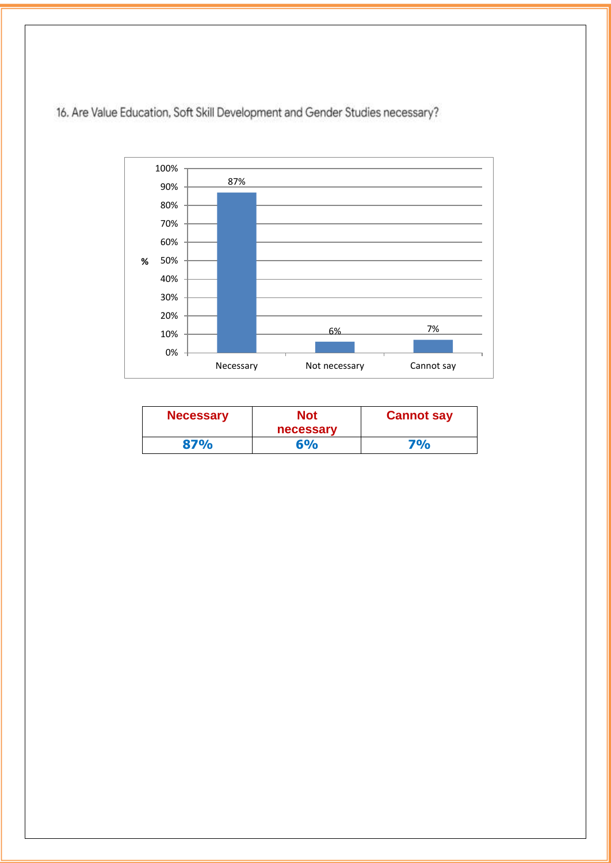

16. Are Value Education, Soft Skill Development and Gender Studies necessary?

| Necessary | Not<br>necessary | <b>Cannot say</b> |
|-----------|------------------|-------------------|
| 87%       | 6%               | <b>7%</b>         |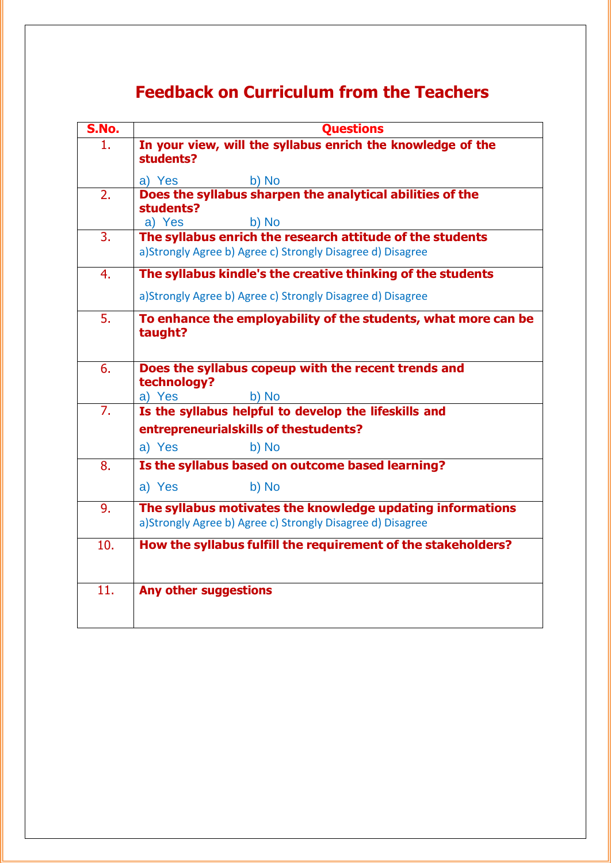## **Feedback on Curriculum from the Teachers**

| S.No.          | <b>Ouestions</b>                                                          |
|----------------|---------------------------------------------------------------------------|
| 1.             | In your view, will the syllabus enrich the knowledge of the               |
|                | students?                                                                 |
|                | a) Yes<br>b) No                                                           |
| 2.             | Does the syllabus sharpen the analytical abilities of the<br>students?    |
|                | a) Yes<br>b) No                                                           |
| 3 <sub>1</sub> | The syllabus enrich the research attitude of the students                 |
|                | a)Strongly Agree b) Agree c) Strongly Disagree d) Disagree                |
| 4.             | The syllabus kindle's the creative thinking of the students               |
|                | a)Strongly Agree b) Agree c) Strongly Disagree d) Disagree                |
| 5.             | To enhance the employability of the students, what more can be<br>taught? |
|                |                                                                           |
| 6.             | Does the syllabus copeup with the recent trends and<br>technology?        |
|                | a) Yes<br>b) No                                                           |
| 7.             | Is the syllabus helpful to develop the lifeskills and                     |
|                | entrepreneurialskills of thestudents?                                     |
|                | a) Yes<br>b) No                                                           |
| 8.             | Is the syllabus based on outcome based learning?                          |
|                | a) Yes<br>b) No                                                           |
| 9.             | The syllabus motivates the knowledge updating informations                |
|                | a)Strongly Agree b) Agree c) Strongly Disagree d) Disagree                |
| 10.            | How the syllabus fulfill the requirement of the stakeholders?             |
|                |                                                                           |
| 11.            | Any other suggestions                                                     |
|                |                                                                           |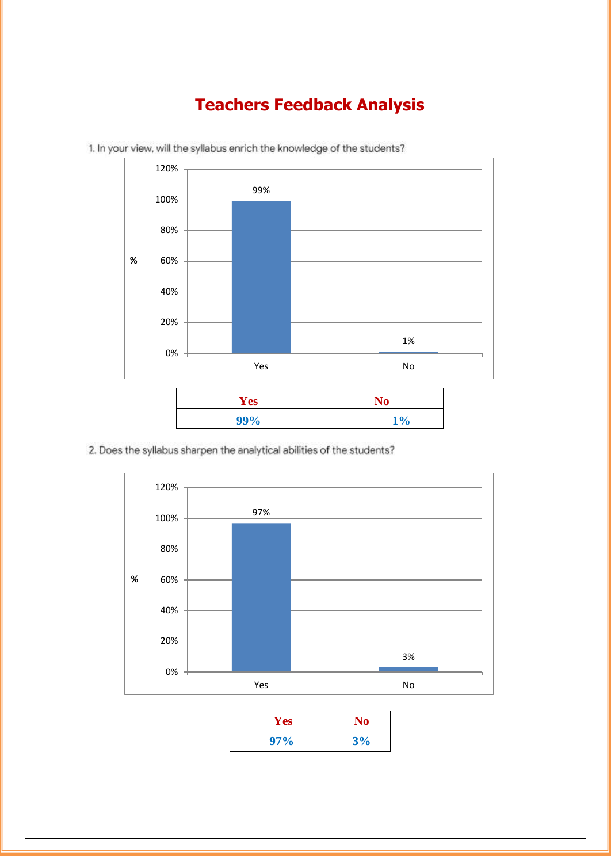### **Teachers Feedback Analysis**



**99% 1%**

1. In your view, will the syllabus enrich the knowledge of the students?

2. Does the syllabus sharpen the analytical abilities of the students?



| <b>Yes</b> | <b>No</b> |
|------------|-----------|
| 97%        | 3%        |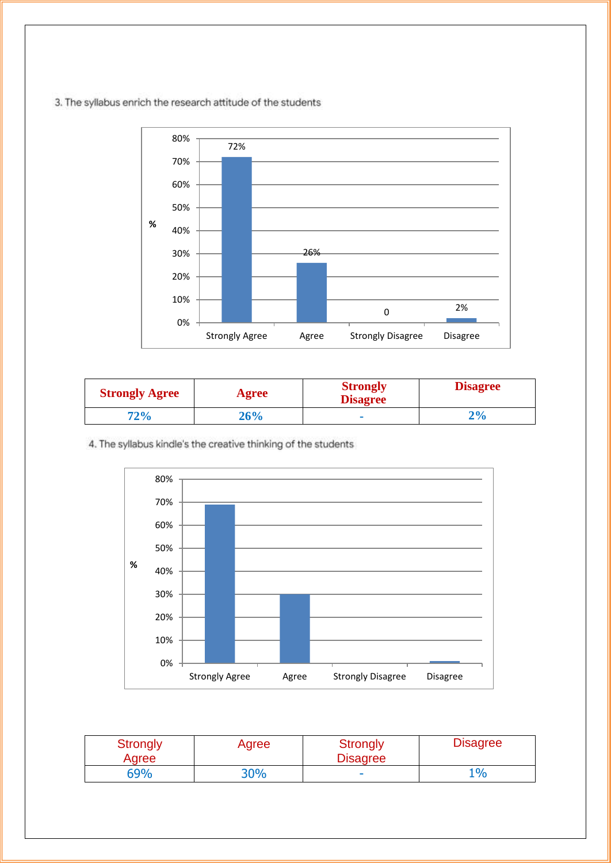3. The syllabus enrich the research attitude of the students



| <b>Strongly Agree</b> | Agree | <b>Strongly</b><br><b>Disagree</b> | <b>Disagree</b> |
|-----------------------|-------|------------------------------------|-----------------|
| 72%                   | 26%   | $\mathbf{r}$                       | 70/             |

4. The syllabus kindle's the creative thinking of the students



| <b>Strongly</b><br>Agree | Agree      | <b>Strongly</b><br><b>Disagree</b> | <b>Disagree</b> |
|--------------------------|------------|------------------------------------|-----------------|
| 69%                      | <b>30%</b> | $\overline{\phantom{a}}$           | 10/0            |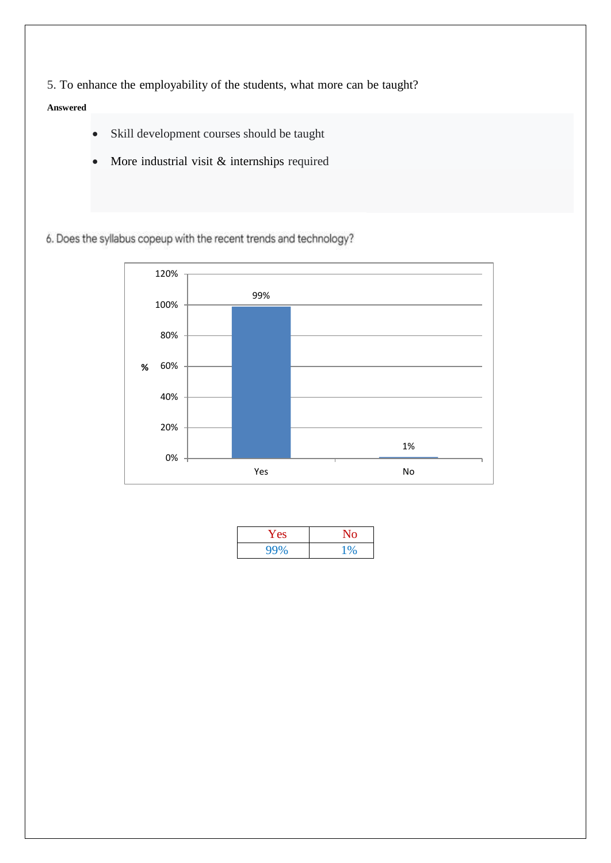5. To enhance the employability of the students, what more can be taught?

#### **Answered**

- Skill development courses should be taught
- More industrial visit & internships required

6. Does the syllabus copeup with the recent trends and technology?



| Y es | NO. |
|------|-----|
| 99%  |     |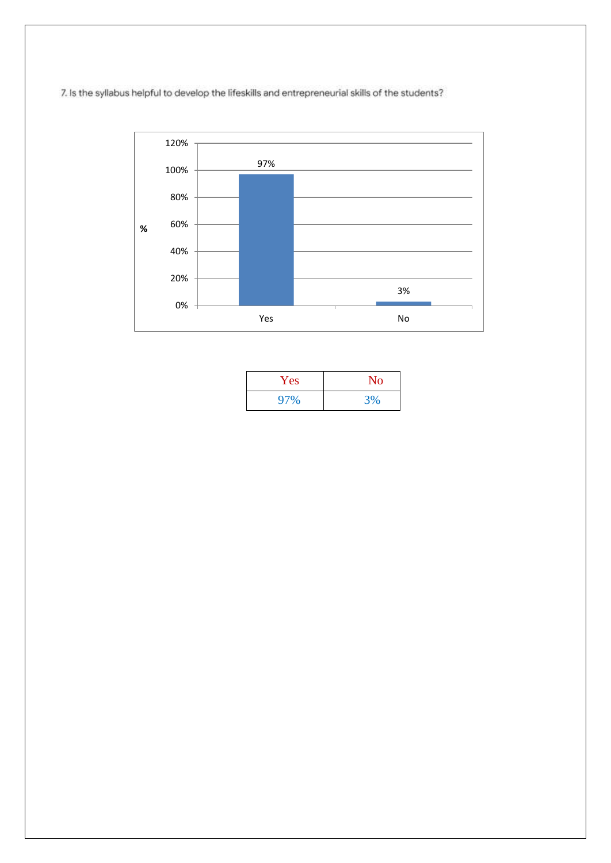7. Is the syllabus helpful to develop the lifeskills and entrepreneurial skills of the students?



| Yes | No |
|-----|----|
| 97% | 3% |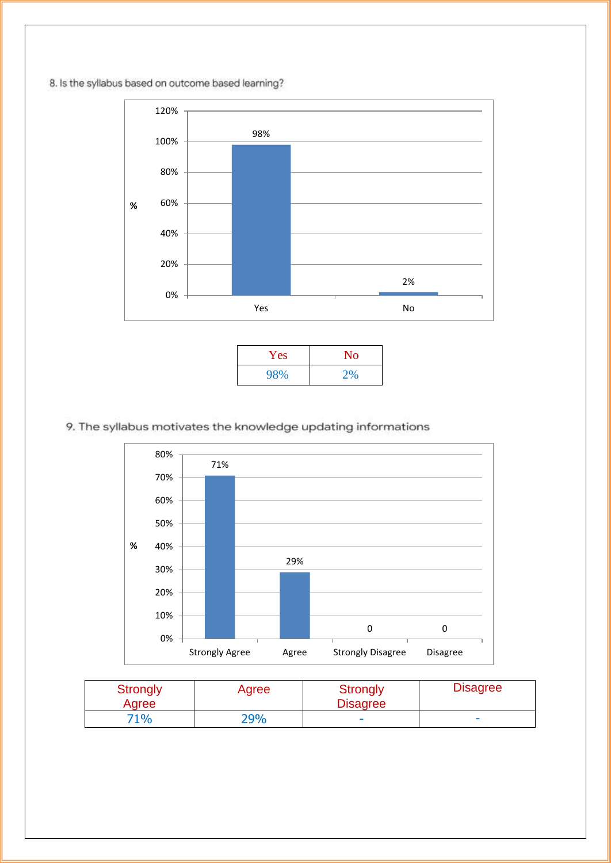8. Is the syllabus based on outcome based learning?



| Yes | No |
|-----|----|
| 98% | 2% |

#### 9. The syllabus motivates the knowledge updating informations



| Strongly<br>Agree | Agree | Strongly<br><b>Disagree</b> | <b>Disagree</b> |
|-------------------|-------|-----------------------------|-----------------|
| 71%               | 29%   |                             | $\sim$          |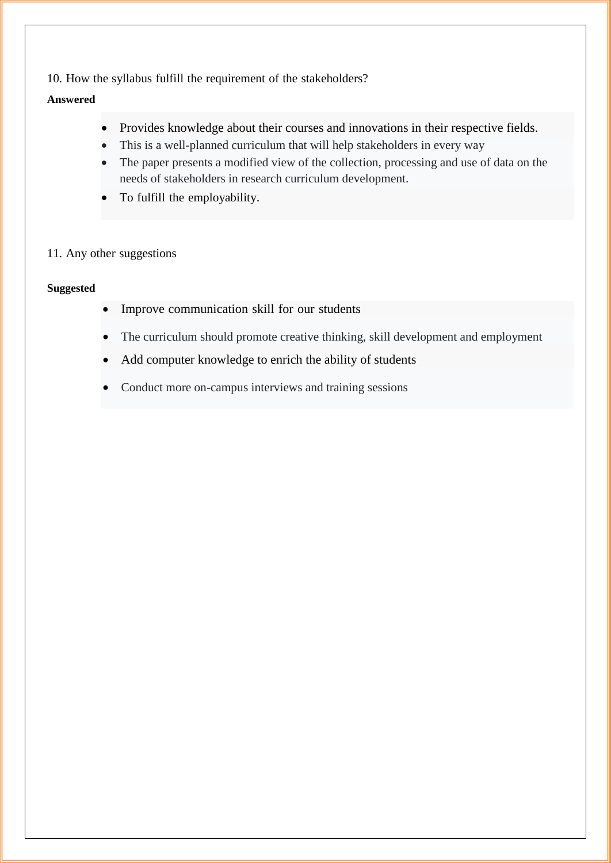10. How the syllabus fulfill the requirement of the stakeholders?

#### **Answered**

- Provides knowledge about their courses and innovations in their respective fields.
- This is a well-planned curriculum that will help stakeholders in every way
- The paper presents a modified view of the collection, processing and use of data on the needs of stakeholders in research curriculum development.
- To fulfill the employability.

#### 11. Any other suggestions

#### **Suggested**

- Improve communication skill for our students
- The curriculum should promote creative thinking, skill development and employment
- Add computer knowledge to enrich the ability of students
- Conduct more on-campus interviews and training sessions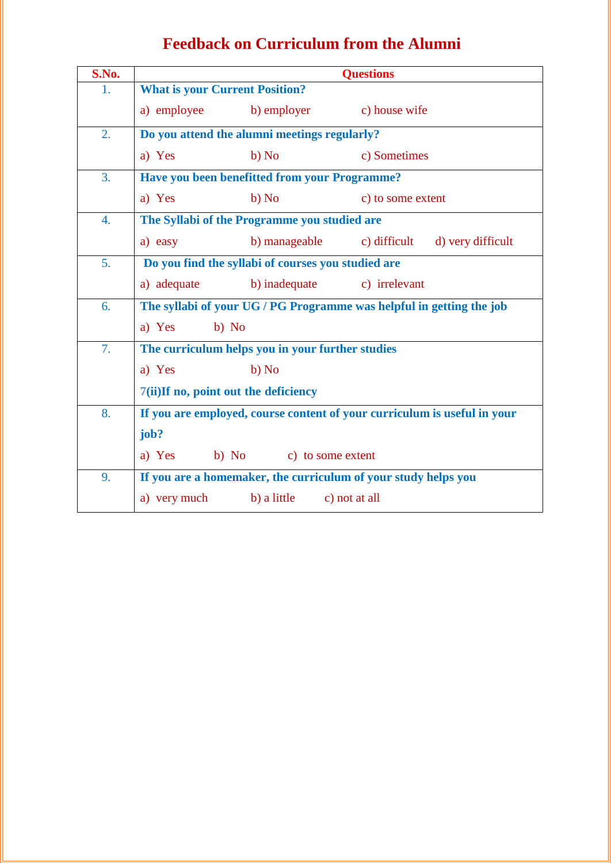| <b>Feedback on Curriculum from the Alumni</b> |  |  |  |
|-----------------------------------------------|--|--|--|
|-----------------------------------------------|--|--|--|

| S.No. |                                                    |                                                  | <b>Questions</b>                                                         |
|-------|----------------------------------------------------|--------------------------------------------------|--------------------------------------------------------------------------|
| 1.    | <b>What is your Current Position?</b>              |                                                  |                                                                          |
|       | a) employee                                        | b) employer                                      | c) house wife                                                            |
| 2.    |                                                    | Do you attend the alumni meetings regularly?     |                                                                          |
|       | a) Yes                                             | b) No                                            | c) Sometimes                                                             |
| 3.    |                                                    | Have you been benefitted from your Programme?    |                                                                          |
|       | a) Yes                                             | b) No                                            | c) to some extent                                                        |
| 4.    |                                                    | The Syllabi of the Programme you studied are     |                                                                          |
|       | a) easy                                            | b) manageable                                    | c) difficult d) very difficult                                           |
| 5.    | Do you find the syllabi of courses you studied are |                                                  |                                                                          |
|       | a) adequate                                        | b) inadequate                                    | c) irrelevant                                                            |
| 6.    |                                                    |                                                  | The syllabi of your UG / PG Programme was helpful in getting the job     |
|       | b) No<br>a) Yes                                    |                                                  |                                                                          |
| 7.    |                                                    | The curriculum helps you in your further studies |                                                                          |
|       | a) Yes                                             | b) No                                            |                                                                          |
|       | 7(ii)If no, point out the deficiency               |                                                  |                                                                          |
| 8.    |                                                    |                                                  | If you are employed, course content of your curriculum is useful in your |
|       | job?                                               |                                                  |                                                                          |
|       | a) Yes<br>b) No                                    | c) to some extent                                |                                                                          |
| 9.    |                                                    |                                                  | If you are a homemaker, the curriculum of your study helps you           |
|       | a) very much                                       | b) a little                                      | c) not at all                                                            |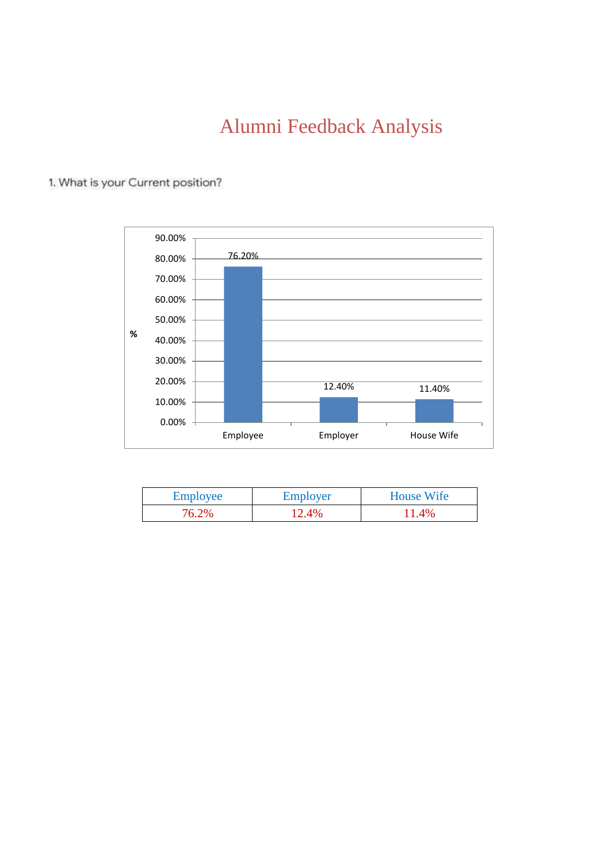# Alumni Feedback Analysis



#### 1. What is your Current position?

| Employee | Employer | <b>House Wife</b> |
|----------|----------|-------------------|
| 76.2%    | 12.4%    | $1.4\%$           |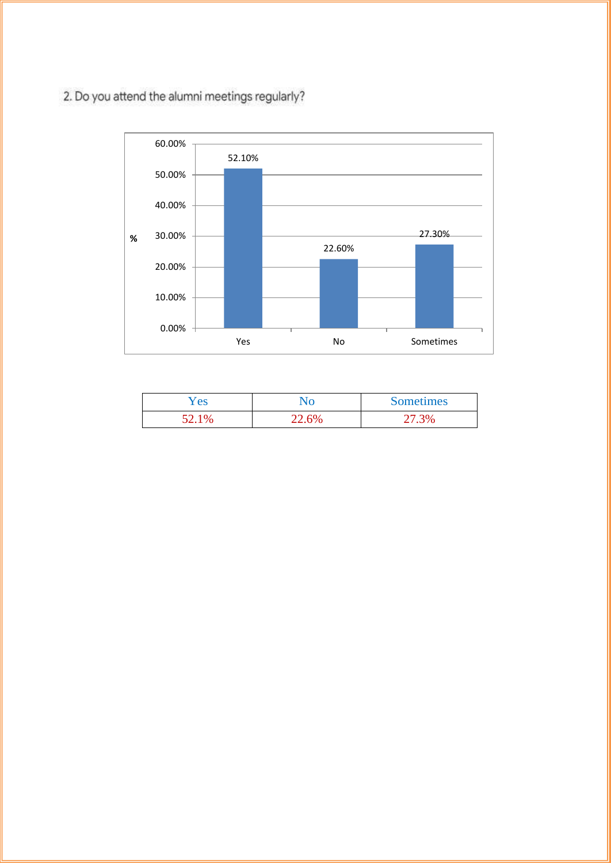2. Do you attend the alumni meetings regularly?



| es ⁄                  |                  | <b>Sometimes</b> |
|-----------------------|------------------|------------------|
| $\mathsf{U}^{\prime}$ | .60 <sub>o</sub> |                  |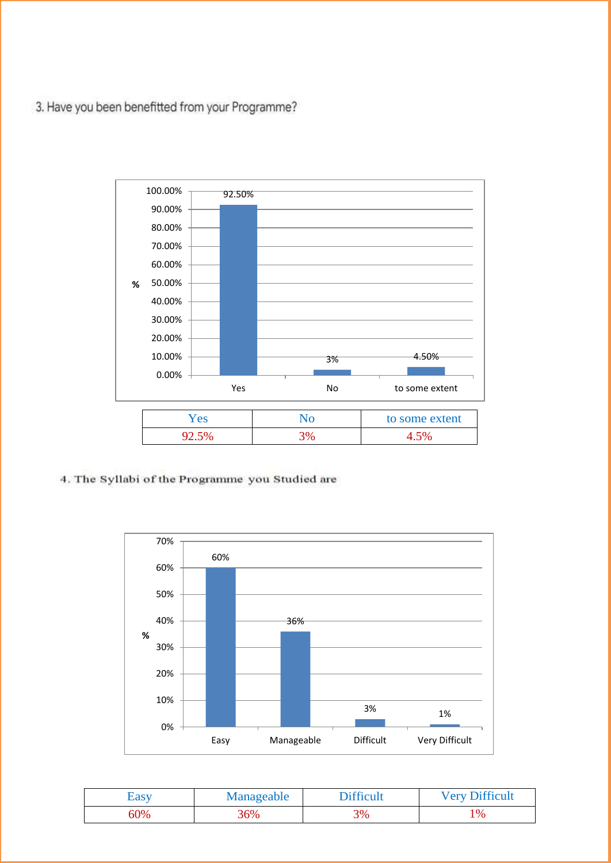3. Have you been benefitted from your Programme?



4. The Syllabi of the Programme you Studied are



| <b>Easy</b> | Manageable | <b>Difficult</b> | <b>Very Difficult</b> |
|-------------|------------|------------------|-----------------------|
| <b>50%</b>  | 36%        | 3%               | $\frac{10}{6}$        |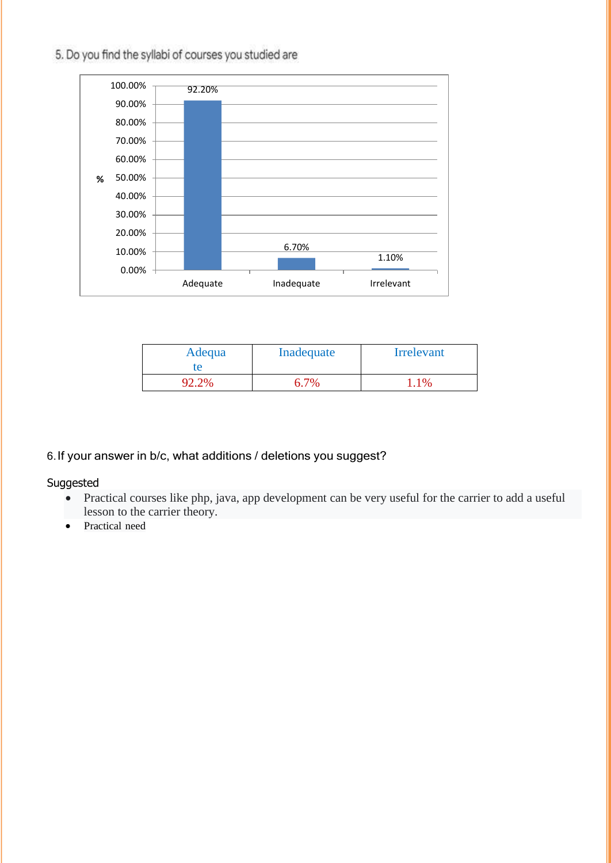#### 92.20% 6.70% 1.10% 0.00% 10.00% 20.00% 30.00% 40.00% 50.00% 60.00% 70.00% 80.00% 90.00% 100.00% Adequate Inadequate Irrelevant **%**



| Adequa<br>te | Inadequate | <b>Irrelevant</b> |
|--------------|------------|-------------------|
|              | 6.7%       | 1%                |

#### 6.If your answer in b/c, what additions / deletions you suggest?

Suggested

- Practical courses like php, java, app development can be very useful for the carrier to add a useful lesson to the carrier theory.
- Practical need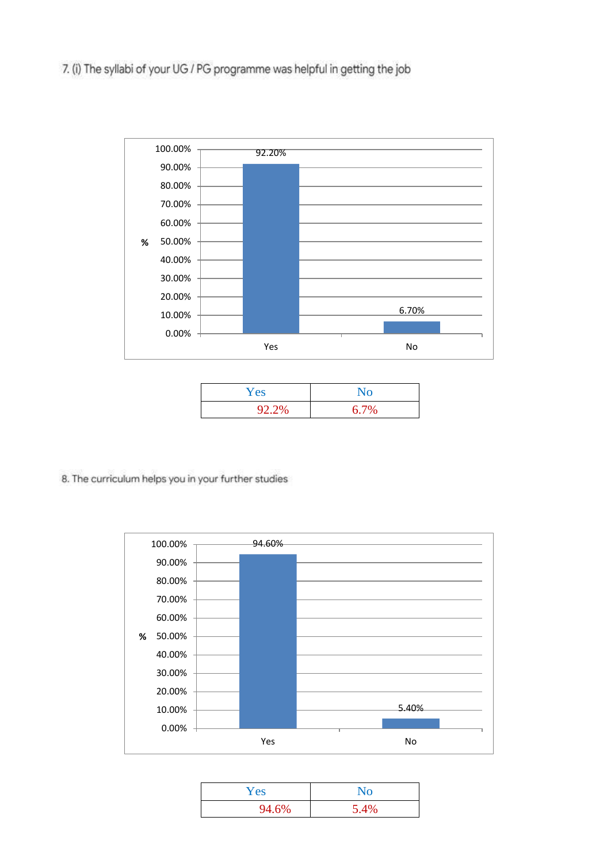7. (i) The syllabi of your UG / PG programme was helpful in getting the job



| Yes   | $\mathbf{N}\mathbf{o}$ |
|-------|------------------------|
| 92.2% | 6.7%                   |

8. The curriculum helps you in your further studies



| Yes   | No   |
|-------|------|
| 94.6% | 5.4% |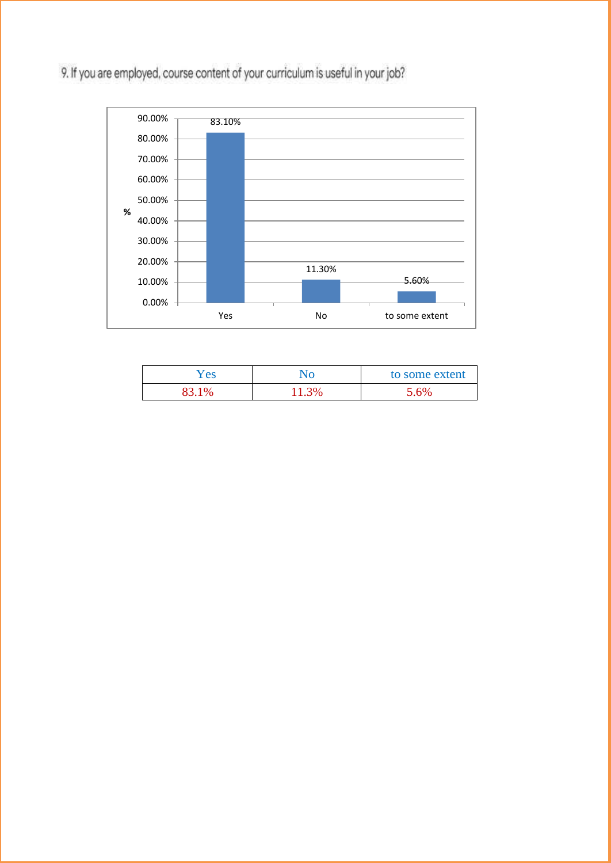9. If you are employed, course content of your curriculum is useful in your job?



| 'es | to some extent |
|-----|----------------|
|     | 6%             |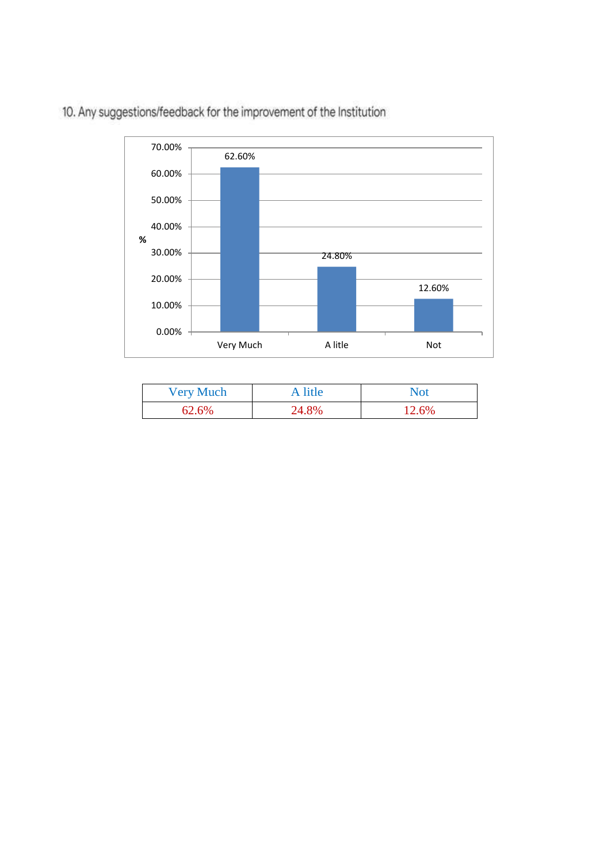

10. Any suggestions/feedback for the improvement of the Institution

| <b>Very Much</b> | A litle | Not   |
|------------------|---------|-------|
| 62.6%            | 24.8%   | 12.6% |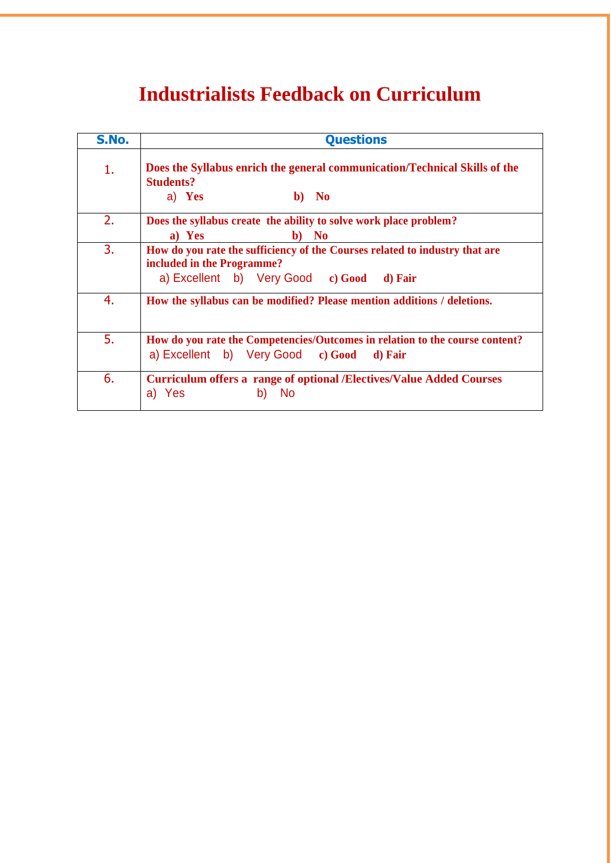# **Industrialists Feedback on Curriculum**

| S.No. | <b>Questions</b>                                                                                                                                       |
|-------|--------------------------------------------------------------------------------------------------------------------------------------------------------|
| 1.    | Does the Syllabus enrich the general communication/Technical Skills of the<br><b>Students?</b><br>a) Yes<br>b) No                                      |
| 2.    | Does the syllabus create the ability to solve work place problem?<br>a) Yes<br>b) No                                                                   |
| 3.    | How do you rate the sufficiency of the Courses related to industry that are<br>included in the Programme?<br>a) Excellent b) Very Good c) Good d) Fair |
| 4.    | How the syllabus can be modified? Please mention additions / deletions.                                                                                |
| 5.    | How do you rate the Competencies/Outcomes in relation to the course content?<br>a) Excellent b) Very Good c) Good<br>d) Fair                           |
| 6.    | <b>Curriculum offers a range of optional /Electives/Value Added Courses</b><br><b>No</b><br>Yes<br>$\mathsf{b}$<br>a)                                  |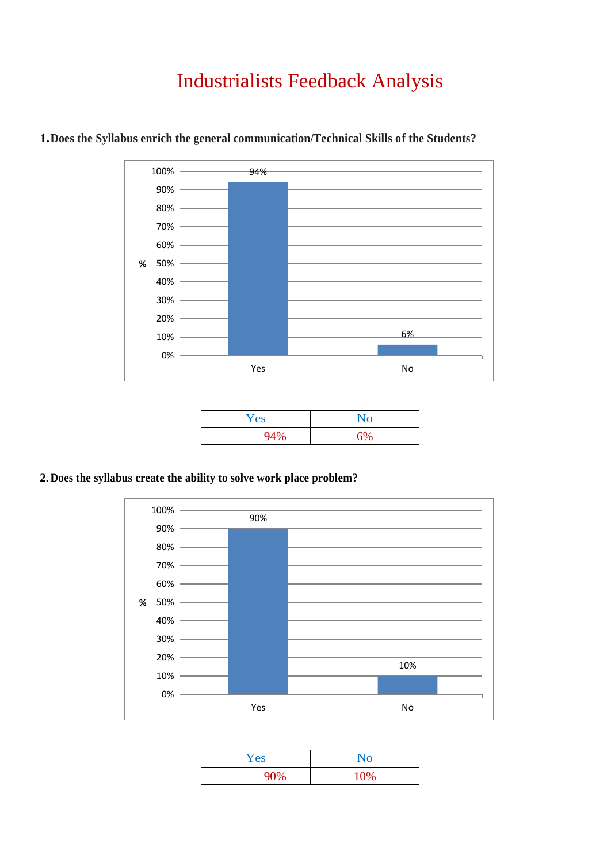# Industrialists Feedback Analysis



### **1.Does the Syllabus enrich the general communication/Technical Skills of the Students?**

| Yes | No |
|-----|----|
| 94% | 6% |

#### **2.Does the syllabus create the ability to solve work place problem?**



| Yes                | $\mathbf{N}\mathbf{o}$ |
|--------------------|------------------------|
| 90%<br><b>7U70</b> | 10%                    |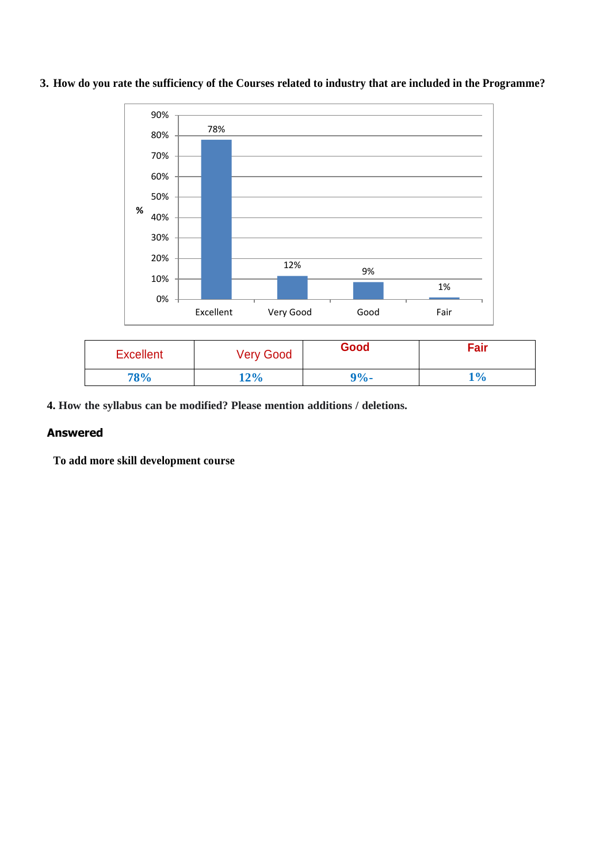

**3. How do you rate the sufficiency of the Courses related to industry that are included in the Programme?**

| <b>Excellent</b> | <b>Very Good</b> | Good    | Fair  |
|------------------|------------------|---------|-------|
| <b>78%</b>       | 12%              | $9\%$ - | $1\%$ |

**4. How the syllabus can be modified? Please mention additions / deletions.**

#### **Answered**

**To add more skill development course**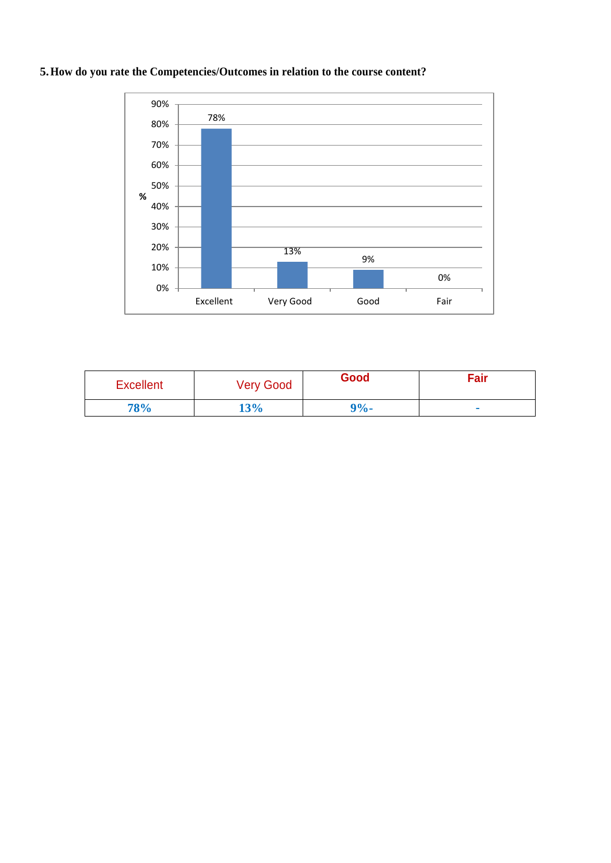

#### **5.How do you rate the Competencies/Outcomes in relation to the course content?**

| <b>Excellent</b> | <b>Very Good</b> | Good    | Fair |
|------------------|------------------|---------|------|
| 78%              | 13%              | $9\%$ - |      |